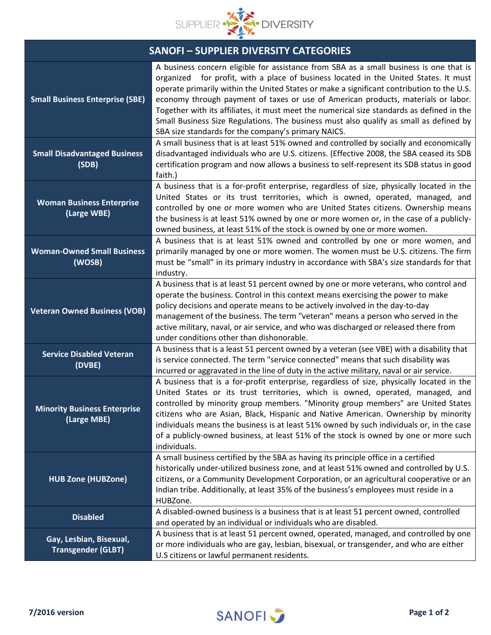

| <b>SANOFI-SUPPLIER DIVERSITY CATEGORIES</b>          |                                                                                                                                                                                                                                                                                                                                                                                                                                                                                                                                                                                                                |
|------------------------------------------------------|----------------------------------------------------------------------------------------------------------------------------------------------------------------------------------------------------------------------------------------------------------------------------------------------------------------------------------------------------------------------------------------------------------------------------------------------------------------------------------------------------------------------------------------------------------------------------------------------------------------|
| <b>Small Business Enterprise (SBE)</b>               | A business concern eligible for assistance from SBA as a small business is one that is<br>organized for profit, with a place of business located in the United States. It must<br>operate primarily within the United States or make a significant contribution to the U.S.<br>economy through payment of taxes or use of American products, materials or labor.<br>Together with its affiliates, it must meet the numerical size standards as defined in the<br>Small Business Size Regulations. The business must also qualify as small as defined by<br>SBA size standards for the company's primary NAICS. |
| <b>Small Disadvantaged Business</b><br>(SDB)         | A small business that is at least 51% owned and controlled by socially and economically<br>disadvantaged individuals who are U.S. citizens. (Effective 2008, the SBA ceased its SDB<br>certification program and now allows a business to self-represent its SDB status in good<br>faith.)                                                                                                                                                                                                                                                                                                                     |
| <b>Woman Business Enterprise</b><br>(Large WBE)      | A business that is a for-profit enterprise, regardless of size, physically located in the<br>United States or its trust territories, which is owned, operated, managed, and<br>controlled by one or more women who are United States citizens. Ownership means<br>the business is at least 51% owned by one or more women or, in the case of a publicly-<br>owned business, at least 51% of the stock is owned by one or more women.                                                                                                                                                                           |
| <b>Woman-Owned Small Business</b><br>(WOSB)          | A business that is at least 51% owned and controlled by one or more women, and<br>primarily managed by one or more women. The women must be U.S. citizens. The firm<br>must be "small" in its primary industry in accordance with SBA's size standards for that<br>industry.                                                                                                                                                                                                                                                                                                                                   |
| <b>Veteran Owned Business (VOB)</b>                  | A business that is at least 51 percent owned by one or more veterans, who control and<br>operate the business. Control in this context means exercising the power to make<br>policy decisions and operate means to be actively involved in the day-to-day<br>management of the business. The term "veteran" means a person who served in the<br>active military, naval, or air service, and who was discharged or released there from<br>under conditions other than dishonorable.                                                                                                                             |
| <b>Service Disabled Veteran</b><br>(DVBE)            | A business that is a least 51 percent owned by a veteran (see VBE) with a disability that<br>is service connected. The term "service connected" means that such disability was<br>incurred or aggravated in the line of duty in the active military, naval or air service.                                                                                                                                                                                                                                                                                                                                     |
| <b>Minority Business Enterprise</b><br>(Large MBE)   | A business that is a for-profit enterprise, regardless of size, physically located in the<br>United States or its trust territories, which is owned, operated, managed, and<br>controlled by minority group members. "Minority group members" are United States<br>citizens who are Asian, Black, Hispanic and Native American. Ownership by minority<br>individuals means the business is at least 51% owned by such individuals or, in the case<br>of a publicly-owned business, at least 51% of the stock is owned by one or more such<br>individuals.                                                      |
| <b>HUB Zone (HUBZone)</b>                            | A small business certified by the SBA as having its principle office in a certified<br>historically under-utilized business zone, and at least 51% owned and controlled by U.S.<br>citizens, or a Community Development Corporation, or an agricultural cooperative or an<br>Indian tribe. Additionally, at least 35% of the business's employees must reside in a<br>HUBZone.                                                                                                                                                                                                                                 |
| <b>Disabled</b>                                      | A disabled-owned business is a business that is at least 51 percent owned, controlled<br>and operated by an individual or individuals who are disabled.                                                                                                                                                                                                                                                                                                                                                                                                                                                        |
| Gay, Lesbian, Bisexual,<br><b>Transgender (GLBT)</b> | A business that is at least 51 percent owned, operated, managed, and controlled by one<br>or more individuals who are gay, lesbian, bisexual, or transgender, and who are either<br>U.S citizens or lawful permanent residents.                                                                                                                                                                                                                                                                                                                                                                                |